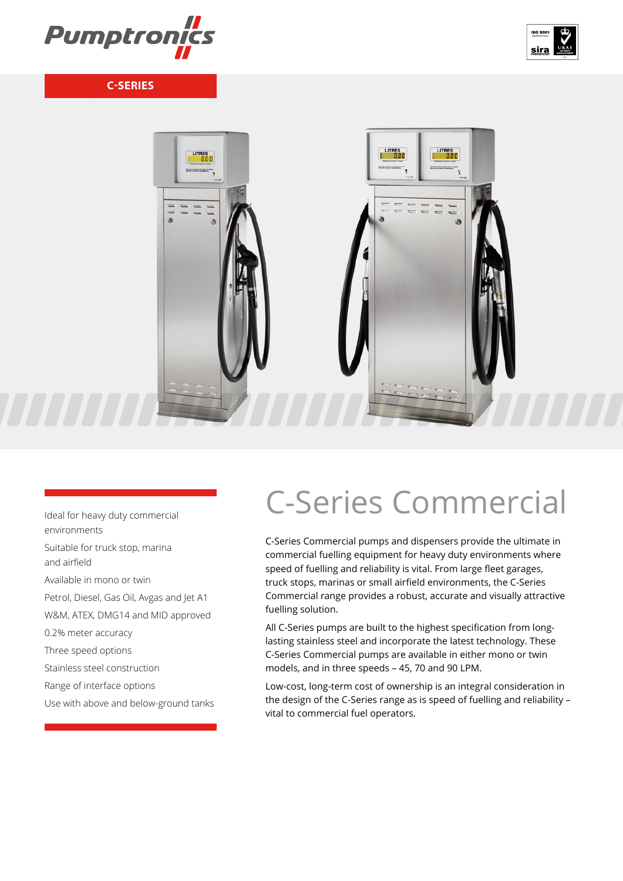





Ideal for heavy duty commercial environments Suitable for truck stop, marina and airfield Available in mono or twin Petrol, Diesel, Gas Oil, Avgas and Jet A1 W&M, ATEX, DMG14 and MID approved 0.2% meter accuracy Three speed options Stainless steel construction Range of interface options Use with above and below-ground tanks

# C-Series Commercial

C-Series Commercial pumps and dispensers provide the ultimate in commercial fuelling equipment for heavy duty environments where speed of fuelling and reliability is vital. From large fleet garages, truck stops, marinas or small airfield environments, the C-Series Commercial range provides a robust, accurate and visually attractive fuelling solution.

All C-Series pumps are built to the highest specification from longlasting stainless steel and incorporate the latest technology. These C-Series Commercial pumps are available in either mono or twin models, and in three speeds – 45, 70 and 90 LPM.

Low-cost, long-term cost of ownership is an integral consideration in the design of the C-Series range as is speed of fuelling and reliability – vital to commercial fuel operators.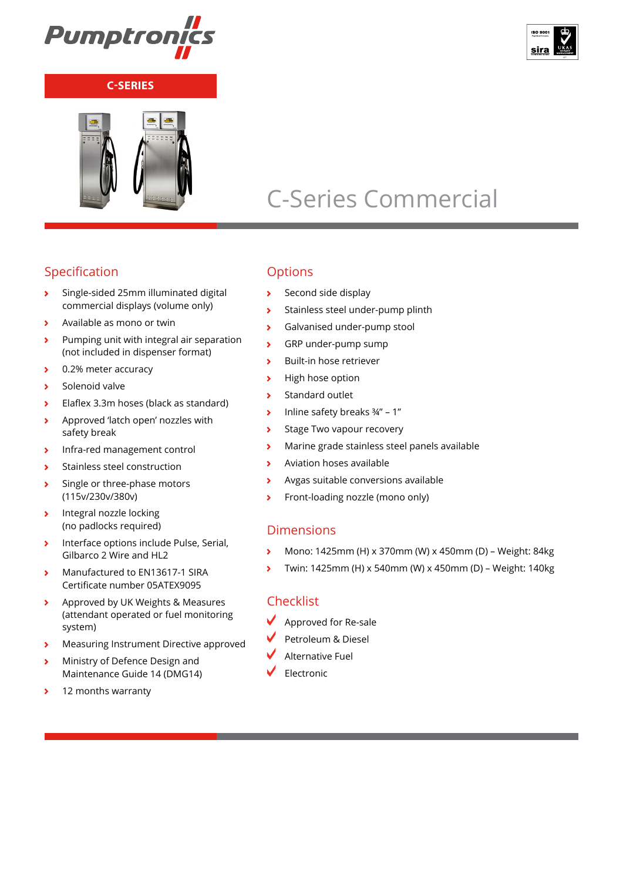



## C-Series Commercial

### Specification

- Single-sided 25mm illuminated digital  $\overline{\phantom{a}}$ commercial displays (volume only)
- Available as mono or twin  $\overline{\phantom{a}}$
- Pumping unit with integral air separation  $\overline{\phantom{a}}$ (not included in dispenser format)
- 0.2% meter accuracy  $\overline{\phantom{a}}$
- Solenoid valve  $\overline{\phantom{a}}$
- Elaflex 3.3m hoses (black as standard)  $\overline{\phantom{a}}$
- Approved 'latch open' nozzles with  $\overline{\phantom{a}}$ safety break
- Infra-red management control  $\overline{\phantom{a}}$
- Stainless steel construction  $\overline{\mathbf{r}}$
- $\overline{\phantom{a}}$ Single or three-phase motors (115v/230v/380v)
- $\overline{\phantom{a}}$ Integral nozzle locking (no padlocks required)
- $\rightarrow$ Interface options include Pulse, Serial, Gilbarco 2 Wire and HL2
- Manufactured to EN13617-1 SIRA  $\overline{\phantom{a}}$ Certificate number 05ATEX9095
- $\overline{\phantom{0}}$ Approved by UK Weights & Measures (attendant operated or fuel monitoring system)
- Measuring Instrument Directive approved  $\overline{\phantom{a}}$
- Ministry of Defence Design and  $\overline{\mathbf{A}}$ Maintenance Guide 14 (DMG14)
- 12 months warranty $\rightarrow$

### **Options**

- Second side display
- Stainless steel under-pump plinth  $\overline{\phantom{a}}$
- Galvanised under-pump stool  $\overline{\phantom{a}}$
- GRP under-pump sump  $\overline{\mathbf{r}}$
- $\overline{\phantom{a}}$ Built-in hose retriever
- High hose option  $\rightarrow$
- Standard outlet  $\overline{\phantom{a}}$
- Inline safety breaks ¾" 1"  $\overline{\phantom{a}}$
- Stage Two vapour recovery  $\overline{\mathbf{r}}$
- Marine grade stainless steel panels available  $\overline{\phantom{a}}$
- Aviation hoses available  $\overline{\phantom{a}}$
- Avgas suitable conversions available  $\overline{\phantom{a}}$
- Front-loading nozzle (mono only)  $\overline{\phantom{a}}$

#### Dimensions

- Mono: 1425mm (H) x 370mm (W) x 450mm (D) Weight: 84kg  $\overline{\phantom{a}}$
- Twin: 1425mm (H) x 540mm (W) x 450mm (D) Weight: 140kg  $\overline{\phantom{a}}$

#### Checklist

- $\blacktriangleright$  Approved for Re-sale
- Petroleum & Diesel
- Alternative Fuel
- Electronic

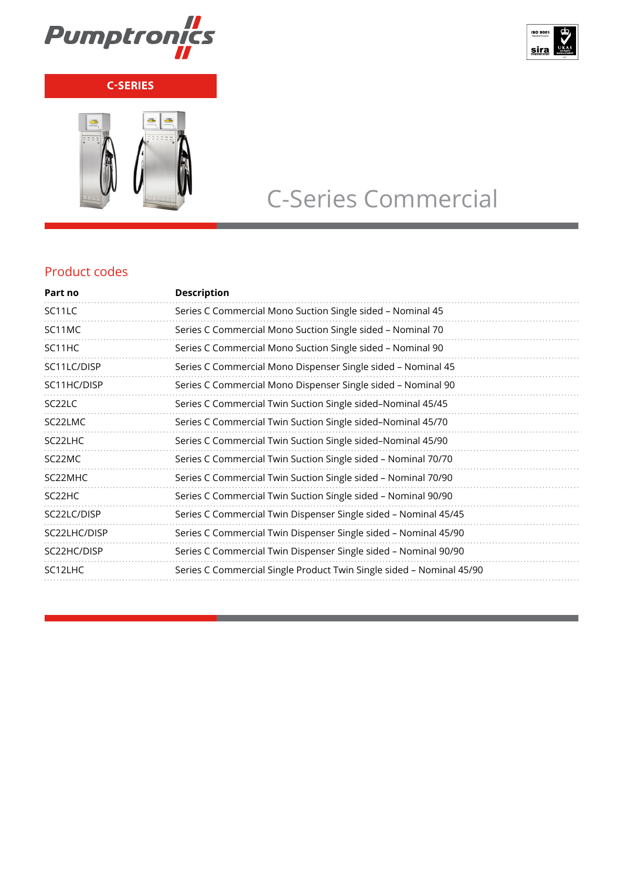



# C-Series Commercial

### Product codes

| Part no              | <b>Description</b>                                                   |
|----------------------|----------------------------------------------------------------------|
| SC <sub>11</sub> LC  | Series C Commercial Mono Suction Single sided - Nominal 45           |
| SC11MC               | Series C Commercial Mono Suction Single sided - Nominal 70           |
| SC11HC               | Series C Commercial Mono Suction Single sided - Nominal 90           |
| SC11LC/DISP          | Series C Commercial Mono Dispenser Single sided – Nominal 45         |
| SC11HC/DISP          | Series C Commercial Mono Dispenser Single sided - Nominal 90         |
| SC <sub>22</sub> LC  | Series C Commercial Twin Suction Single sided-Nominal 45/45          |
| SC22LMC              | Series C Commercial Twin Suction Single sided-Nominal 45/70          |
| SC <sub>22</sub> LHC | Series C Commercial Twin Suction Single sided-Nominal 45/90          |
| SC <sub>2</sub> 2MC  | Series C Commercial Twin Suction Single sided - Nominal 70/70        |
| SC <sub>2</sub> 2MHC | Series C Commercial Twin Suction Single sided – Nominal 70/90        |
| SC <sub>2</sub> 2HC  | Series C Commercial Twin Suction Single sided - Nominal 90/90        |
| SC22LC/DISP          | Series C Commercial Twin Dispenser Single sided - Nominal 45/45      |
| SC22LHC/DISP         | Series C Commercial Twin Dispenser Single sided – Nominal 45/90      |
| SC22HC/DISP          | Series C Commercial Twin Dispenser Single sided - Nominal 90/90      |
| SC12LHC              | Series C Commercial Single Product Twin Single sided - Nominal 45/90 |
|                      |                                                                      |